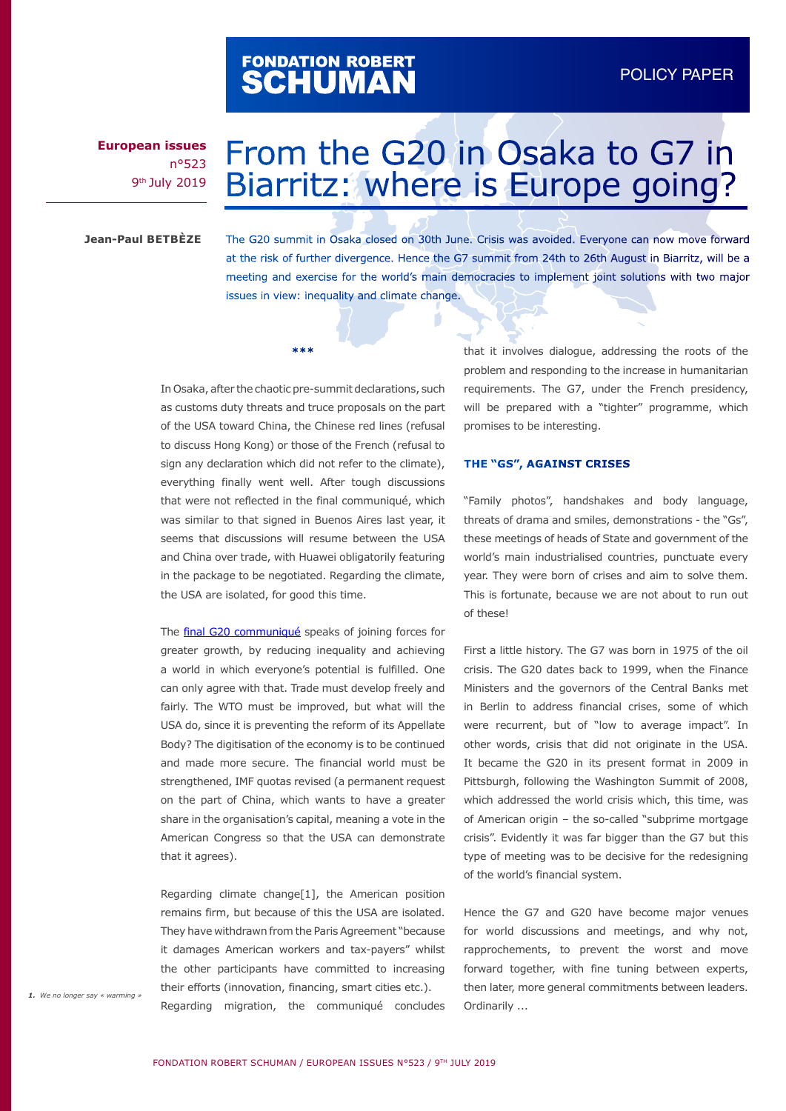# FONDATION ROBERT<br>**SCHUMAN**

**European issues** n°523 9th July 2019

# From the G20 in Osaka to G7 in Biarritz: where is Europe going?

**Jean-Paul BETBÈZE**

The G20 summit in Osaka closed on 30th June. Crisis was avoided. Everyone can now move forward at the risk of further divergence. Hence the G7 summit from 24th to 26th August in Biarritz, will be a meeting and exercise for the world's main democracies to implement joint solutions with two major issues in view: inequality and climate change.

In Osaka, after the chaotic pre-summit declarations, such as customs duty threats and truce proposals on the part of the USA toward China, the Chinese red lines (refusal to discuss Hong Kong) or those of the French (refusal to sign any declaration which did not refer to the climate), everything finally went well. After tough discussions that were not reflected in the final communiqué, which was similar to that signed in Buenos Aires last year, it seems that discussions will resume between the USA and China over trade, with Huawei obligatorily featuring in the package to be negotiated. Regarding the climate, the USA are isolated, for good this time.

**\*\*\***

The [final G20 communiqué](https://www.g20.org/pdf/documents/en/FINAL_G20_Osaka_Leaders_Declaration.pdf) speaks of joining forces for greater growth, by reducing inequality and achieving a world in which everyone's potential is fulfilled. One can only agree with that. Trade must develop freely and fairly. The WTO must be improved, but what will the USA do, since it is preventing the reform of its Appellate Body? The digitisation of the economy is to be continued and made more secure. The financial world must be strengthened, IMF quotas revised (a permanent request on the part of China, which wants to have a greater share in the organisation's capital, meaning a vote in the American Congress so that the USA can demonstrate that it agrees).

Regarding climate change[1], the American position remains firm, but because of this the USA are isolated. They have withdrawn from the Paris Agreement "because it damages American workers and tax-payers" whilst the other participants have committed to increasing their efforts (innovation, financing, smart cities etc.).

Regarding migration, the communiqué concludes

that it involves dialogue, addressing the roots of the problem and responding to the increase in humanitarian requirements. The G7, under the French presidency, will be prepared with a "tighter" programme, which promises to be interesting.

#### **THE "GS", AGAINST CRISES**

"Family photos", handshakes and body language, threats of drama and smiles, demonstrations - the "Gs", these meetings of heads of State and government of the world's main industrialised countries, punctuate every year. They were born of crises and aim to solve them. This is fortunate, because we are not about to run out of these!

First a little history. The G7 was born in 1975 of the oil crisis. The G20 dates back to 1999, when the Finance Ministers and the governors of the Central Banks met in Berlin to address financial crises, some of which were recurrent, but of "low to average impact". In other words, crisis that did not originate in the USA. It became the G20 in its present format in 2009 in Pittsburgh, following the Washington Summit of 2008, which addressed the world crisis which, this time, was of American origin – the so-called "subprime mortgage crisis". Evidently it was far bigger than the G7 but this type of meeting was to be decisive for the redesigning of the world's financial system.

Hence the G7 and G20 have become major venues for world discussions and meetings, and why not, rapprochements, to prevent the worst and move forward together, with fine tuning between experts, then later, more general commitments between leaders. Ordinarily ...

*1. We no longer say « warming »*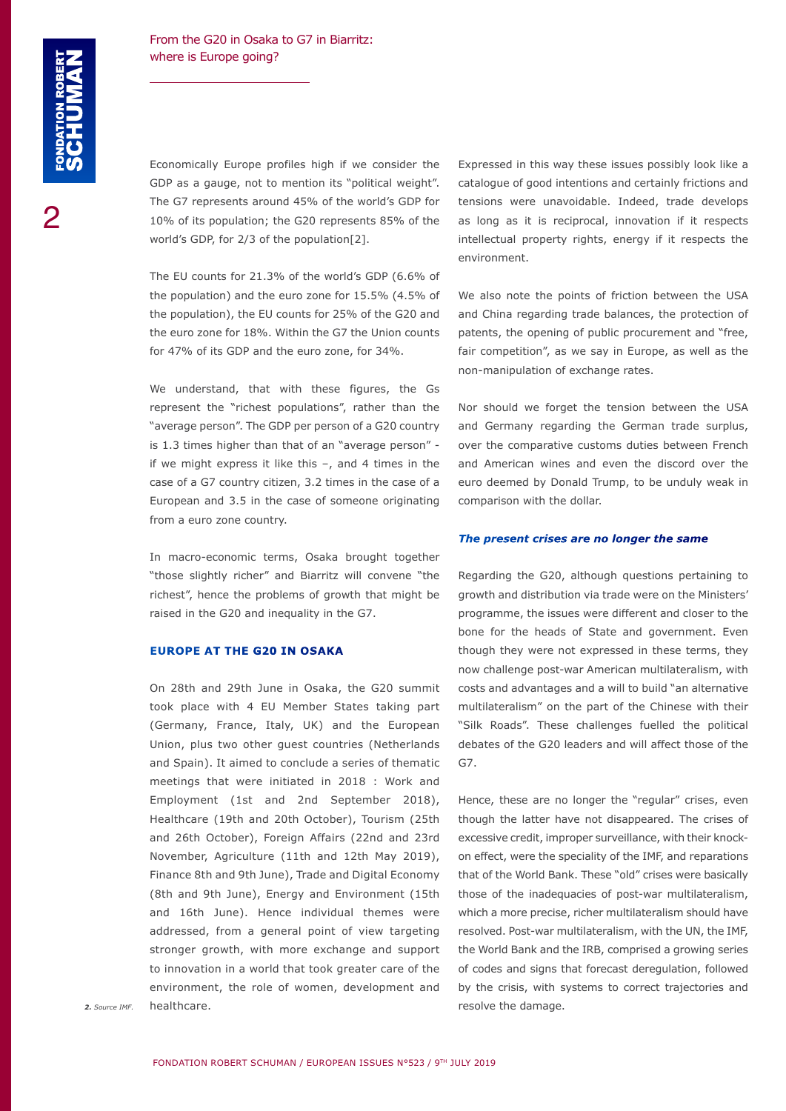2

### From the G20 in Osaka to G7 in Biarritz: where is Europe going?

Economically Europe profiles high if we consider the GDP as a gauge, not to mention its "political weight". The G7 represents around 45% of the world's GDP for 10% of its population; the G20 represents 85% of the world's GDP, for 2/3 of the population[2].

The EU counts for 21.3% of the world's GDP (6.6% of the population) and the euro zone for 15.5% (4.5% of the population), the EU counts for 25% of the G20 and the euro zone for 18%. Within the G7 the Union counts for 47% of its GDP and the euro zone, for 34%.

We understand, that with these figures, the Gs represent the "richest populations", rather than the "average person". The GDP per person of a G20 country is 1.3 times higher than that of an "average person" if we might express it like this  $-$ , and 4 times in the case of a G7 country citizen, 3.2 times in the case of a European and 3.5 in the case of someone originating from a euro zone country.

In macro-economic terms, Osaka brought together "those slightly richer" and Biarritz will convene "the richest", hence the problems of growth that might be raised in the G20 and inequality in the G7.

#### **EUROPE AT THE G20 IN OSAKA**

On 28th and 29th June in Osaka, the G20 summit took place with 4 EU Member States taking part (Germany, France, Italy, UK) and the European Union, plus two other guest countries (Netherlands and Spain). It aimed to conclude a series of thematic meetings that were initiated in 2018 : Work and Employment (1st and 2nd September 2018), Healthcare (19th and 20th October), Tourism (25th and 26th October), Foreign Affairs (22nd and 23rd November, Agriculture (11th and 12th May 2019), Finance 8th and 9th June), Trade and Digital Economy (8th and 9th June), Energy and Environment (15th and 16th June). Hence individual themes were addressed, from a general point of view targeting stronger growth, with more exchange and support to innovation in a world that took greater care of the environment, the role of women, development and healthcare. *2. Source IMF.* resolve the damage.

Expressed in this way these issues possibly look like a catalogue of good intentions and certainly frictions and tensions were unavoidable. Indeed, trade develops as long as it is reciprocal, innovation if it respects intellectual property rights, energy if it respects the environment.

We also note the points of friction between the USA and China regarding trade balances, the protection of patents, the opening of public procurement and "free, fair competition", as we say in Europe, as well as the non-manipulation of exchange rates.

Nor should we forget the tension between the USA and Germany regarding the German trade surplus, over the comparative customs duties between French and American wines and even the discord over the euro deemed by Donald Trump, to be unduly weak in comparison with the dollar.

#### *The present crises are no longer the same*

Regarding the G20, although questions pertaining to growth and distribution via trade were on the Ministers' programme, the issues were different and closer to the bone for the heads of State and government. Even though they were not expressed in these terms, they now challenge post-war American multilateralism, with costs and advantages and a will to build "an alternative multilateralism" on the part of the Chinese with their "Silk Roads". These challenges fuelled the political debates of the G20 leaders and will affect those of the G7.

Hence, these are no longer the "regular" crises, even though the latter have not disappeared. The crises of excessive credit, improper surveillance, with their knockon effect, were the speciality of the IMF, and reparations that of the World Bank. These "old" crises were basically those of the inadequacies of post-war multilateralism, which a more precise, richer multilateralism should have resolved. Post-war multilateralism, with the UN, the IMF, the World Bank and the IRB, comprised a growing series of codes and signs that forecast deregulation, followed by the crisis, with systems to correct trajectories and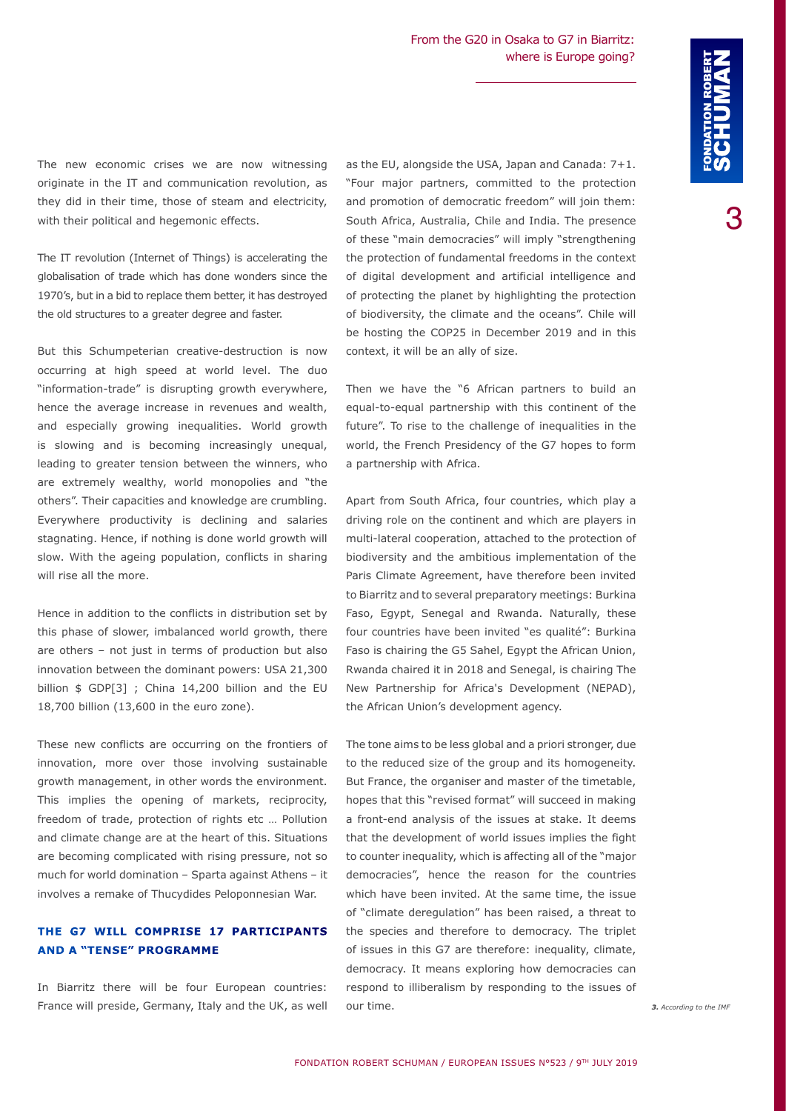3

The new economic crises we are now witnessing originate in the IT and communication revolution, as they did in their time, those of steam and electricity, with their political and hegemonic effects.

The IT revolution (Internet of Things) is accelerating the globalisation of trade which has done wonders since the 1970's, but in a bid to replace them better, it has destroyed the old structures to a greater degree and faster.

But this Schumpeterian creative-destruction is now occurring at high speed at world level. The duo "information-trade" is disrupting growth everywhere, hence the average increase in revenues and wealth, and especially growing inequalities. World growth is slowing and is becoming increasingly unequal, leading to greater tension between the winners, who are extremely wealthy, world monopolies and "the others". Their capacities and knowledge are crumbling. Everywhere productivity is declining and salaries stagnating. Hence, if nothing is done world growth will slow. With the ageing population, conflicts in sharing will rise all the more.

Hence in addition to the conflicts in distribution set by this phase of slower, imbalanced world growth, there are others – not just in terms of production but also innovation between the dominant powers: USA 21,300 billion \$ GDP[3] ; China 14,200 billion and the EU 18,700 billion (13,600 in the euro zone).

These new conflicts are occurring on the frontiers of innovation, more over those involving sustainable growth management, in other words the environment. This implies the opening of markets, reciprocity, freedom of trade, protection of rights etc … Pollution and climate change are at the heart of this. Situations are becoming complicated with rising pressure, not so much for world domination – Sparta against Athens – it involves a remake of Thucydides Peloponnesian War.

## **THE G7 WILL COMPRISE 17 PARTICIPANTS AND A "TENSE" PROGRAMME**

In Biarritz there will be four European countries: France will preside, Germany, Italy and the UK, as well as the EU, alongside the USA, Japan and Canada: 7+1. "Four major partners, committed to the protection and promotion of democratic freedom" will join them: South Africa, Australia, Chile and India. The presence of these "main democracies" will imply "strengthening the protection of fundamental freedoms in the context of digital development and artificial intelligence and of protecting the planet by highlighting the protection of biodiversity, the climate and the oceans". Chile will be hosting the COP25 in December 2019 and in this context, it will be an ally of size.

Then we have the "6 African partners to build an equal-to-equal partnership with this continent of the future". To rise to the challenge of inequalities in the world, the French Presidency of the G7 hopes to form a partnership with Africa.

Apart from South Africa, four countries, which play a driving role on the continent and which are players in multi-lateral cooperation, attached to the protection of biodiversity and the ambitious implementation of the Paris Climate Agreement, have therefore been invited to Biarritz and to several preparatory meetings: Burkina Faso, Egypt, Senegal and Rwanda. Naturally, these four countries have been invited "es qualité": Burkina Faso is chairing the G5 Sahel, Egypt the African Union, Rwanda chaired it in 2018 and Senegal, is chairing The New Partnership for Africa's Development (NEPAD), the African Union's development agency.

The tone aims to be less global and a priori stronger, due to the reduced size of the group and its homogeneity. But France, the organiser and master of the timetable, hopes that this "revised format" will succeed in making a front-end analysis of the issues at stake. It deems that the development of world issues implies the fight to counter inequality, which is affecting all of the "major democracies", hence the reason for the countries which have been invited. At the same time, the issue of "climate deregulation" has been raised, a threat to the species and therefore to democracy. The triplet of issues in this G7 are therefore: inequality, climate, democracy. It means exploring how democracies can respond to illiberalism by responding to the issues of *3. According to the IMF*